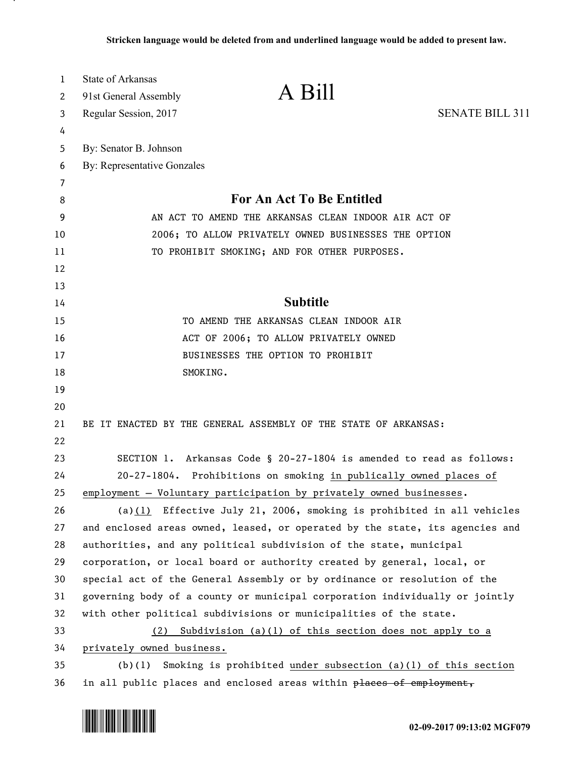| 1<br>2 | <b>State of Arkansas</b><br>A Bill<br>91st General Assembly                  |                        |  |
|--------|------------------------------------------------------------------------------|------------------------|--|
| 3      | Regular Session, 2017                                                        | <b>SENATE BILL 311</b> |  |
| 4      |                                                                              |                        |  |
| 5      | By: Senator B. Johnson                                                       |                        |  |
| 6      | By: Representative Gonzales                                                  |                        |  |
| 7      |                                                                              |                        |  |
| 8      | For An Act To Be Entitled                                                    |                        |  |
| 9      | AN ACT TO AMEND THE ARKANSAS CLEAN INDOOR AIR ACT OF                         |                        |  |
| 10     | 2006; TO ALLOW PRIVATELY OWNED BUSINESSES THE OPTION                         |                        |  |
| 11     | TO PROHIBIT SMOKING; AND FOR OTHER PURPOSES.                                 |                        |  |
| 12     |                                                                              |                        |  |
| 13     |                                                                              |                        |  |
| 14     | <b>Subtitle</b>                                                              |                        |  |
| 15     | TO AMEND THE ARKANSAS CLEAN INDOOR AIR                                       |                        |  |
| 16     | ACT OF 2006; TO ALLOW PRIVATELY OWNED                                        |                        |  |
| 17     | BUSINESSES THE OPTION TO PROHIBIT                                            |                        |  |
| 18     | SMOKING.                                                                     |                        |  |
| 19     |                                                                              |                        |  |
| 20     |                                                                              |                        |  |
| 21     | BE IT ENACTED BY THE GENERAL ASSEMBLY OF THE STATE OF ARKANSAS:              |                        |  |
| 22     |                                                                              |                        |  |
| 23     | SECTION 1. Arkansas Code § 20-27-1804 is amended to read as follows:         |                        |  |
| 24     | 20-27-1804. Prohibitions on smoking in publically owned places of            |                        |  |
| 25     | employment - Voluntary participation by privately owned businesses.          |                        |  |
| 26     | (a) $(1)$ Effective July 21, 2006, smoking is prohibited in all vehicles     |                        |  |
| 27     | and enclosed areas owned, leased, or operated by the state, its agencies and |                        |  |
| 28     | authorities, and any political subdivision of the state, municipal           |                        |  |
| 29     | corporation, or local board or authority created by general, local, or       |                        |  |
| 30     | special act of the General Assembly or by ordinance or resolution of the     |                        |  |
| 31     | governing body of a county or municipal corporation individually or jointly  |                        |  |
| 32     | with other political subdivisions or municipalities of the state.            |                        |  |
| 33     | (2) Subdivision (a)(1) of this section does not apply to a                   |                        |  |
| 34     | privately owned business.                                                    |                        |  |
| 35     | Smoking is prohibited under subsection $(a)(1)$ of this section<br>(b)(1)    |                        |  |
| 36     | in all public places and enclosed areas within places of employment,         |                        |  |



.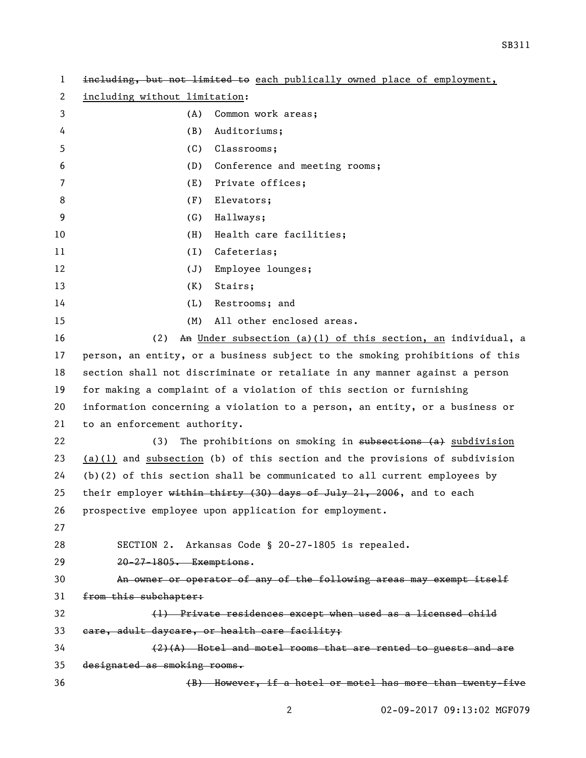| $\mathbf{1}$ | including, but not limited to each publically owned place of employment,      |  |
|--------------|-------------------------------------------------------------------------------|--|
| 2            | including without limitation:                                                 |  |
| 3            | Common work areas;<br>(A)                                                     |  |
| 4            | (B)<br>Auditoriums;                                                           |  |
| 5            | (C)<br>Classrooms;                                                            |  |
| 6            | (D)<br>Conference and meeting rooms;                                          |  |
| 7            | Private offices;<br>(E)                                                       |  |
| 8            | (F)<br>Elevators;                                                             |  |
| 9            | (G)<br>Hallways;                                                              |  |
| 10           | (H)<br>Health care facilities;                                                |  |
| 11           | Cafeterias;<br>(1)                                                            |  |
| 12           | (J)<br>Employee lounges;                                                      |  |
| 13           | Stairs;<br>(K)                                                                |  |
| 14           | (L)<br>Restrooms; and                                                         |  |
| 15           | All other enclosed areas.<br>(M)                                              |  |
| 16           | (2)<br>An Under subsection (a)(1) of this section, an individual, a           |  |
| 17           | person, an entity, or a business subject to the smoking prohibitions of this  |  |
| 18           | section shall not discriminate or retaliate in any manner against a person    |  |
| 19           | for making a complaint of a violation of this section or furnishing           |  |
| 20           | information concerning a violation to a person, an entity, or a business or   |  |
| 21           | to an enforcement authority.                                                  |  |
| 22           | The prohibitions on smoking in subsections (a) subdivision<br>(3)             |  |
| 23           | $(a)(1)$ and subsection (b) of this section and the provisions of subdivision |  |
| 24           | $(b)(2)$ of this section shall be communicated to all current employees by    |  |
| 25           | their employer within thirty (30) days of July 21, 2006, and to each          |  |
| 26           | prospective employee upon application for employment.                         |  |
| 27           |                                                                               |  |
| 28           | SECTION 2. Arkansas Code § 20-27-1805 is repealed.                            |  |
| 29           | 20-27-1805. Exemptions.                                                       |  |
| 30           | An owner or operator of any of the following areas may exempt itself          |  |
| 31           | from this subchapter:                                                         |  |
| 32           | (1) Private residences except when used as a licensed child                   |  |
| 33           | eare, adult daycare, or health care facility;                                 |  |
| 34           | $(2)$ $(A)$ Hotel and motel rooms that are rented to guests and are           |  |
| 35           | designated as smoking rooms.                                                  |  |
| 36           | (B) However, if a hotel or motel has more than twenty-five                    |  |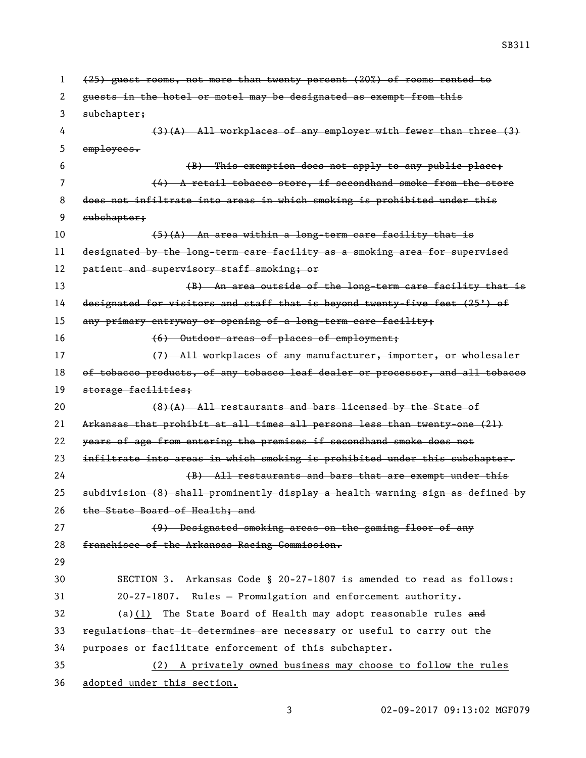(25) guest rooms, not more than twenty percent (20%) of rooms rented to guests in the hotel or motel may be designated as exempt from this subchapter; (3)(A) All workplaces of any employer with fewer than three (3) employees. (B) This exemption does not apply to any public place; (4) A retail tobacco store, if secondhand smoke from the store does not infiltrate into areas in which smoking is prohibited under this subchapter; (5)(A) An area within a long-term care facility that is designated by the long-term care facility as a smoking area for supervised 12 patient and supervisory staff smoking; or 13 (B) An area outside of the long-term care facility that is designated for visitors and staff that is beyond twenty-five feet (25') of any primary entryway or opening of a long-term care facility; (6) Outdoor areas of places of employment; 17 (7) All workplaces of any manufacturer, importer, or wholesaler 18 of tobacco products, of any tobacco leaf dealer or processor, and all tobacco storage facilities; 20 (8)(A) All restaurants and bars licensed by the State of Arkansas that prohibit at all times all persons less than twenty-one (21) years of age from entering the premises if secondhand smoke does not 23 infiltrate into areas in which smoking is prohibited under this subchapter. (B) All restaurants and bars that are exempt under this subdivision (8) shall prominently display a health warning sign as defined by 26 the State Board of Health; and (9) Designated smoking areas on the gaming floor of any franchisee of the Arkansas Racing Commission. SECTION 3. Arkansas Code § 20-27-1807 is amended to read as follows: 20-27-1807. Rules — Promulgation and enforcement authority. 32 (a)(1) The State Board of Health may adopt reasonable rules and 33 regulations that it determines are necessary or useful to carry out the purposes or facilitate enforcement of this subchapter. (2) A privately owned business may choose to follow the rules

adopted under this section.